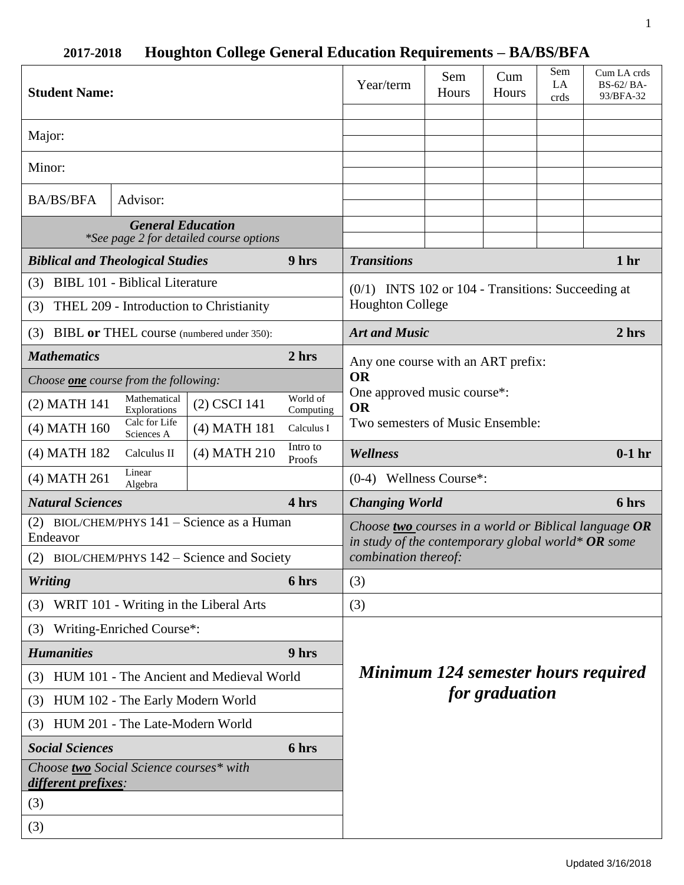| <b>Student Name:</b>                                                |                              |              | Year/term                                                                                                                             | Sem<br>Hours                                    | Cum<br>Hours | Sem<br>LA<br>crds | Cum LA crds<br>BS-62/BA-<br>93/BFA-32 |                 |
|---------------------------------------------------------------------|------------------------------|--------------|---------------------------------------------------------------------------------------------------------------------------------------|-------------------------------------------------|--------------|-------------------|---------------------------------------|-----------------|
| Major:                                                              |                              |              |                                                                                                                                       |                                                 |              |                   |                                       |                 |
| Minor:                                                              |                              |              |                                                                                                                                       |                                                 |              |                   |                                       |                 |
| <b>BA/BS/BFA</b><br>Advisor:                                        |                              |              |                                                                                                                                       |                                                 |              |                   |                                       |                 |
| <b>General Education</b><br>*See page 2 for detailed course options |                              |              |                                                                                                                                       |                                                 |              |                   |                                       |                 |
| <b>Biblical and Theological Studies</b>                             |                              |              | 9 hrs                                                                                                                                 | <b>Transitions</b>                              |              |                   |                                       | 1 <sub>hr</sub> |
| (3) BIBL 101 - Biblical Literature                                  |                              |              | $(0/1)$ INTS 102 or 104 - Transitions: Succeeding at<br><b>Houghton College</b>                                                       |                                                 |              |                   |                                       |                 |
| (3) THEL 209 - Introduction to Christianity                         |                              |              |                                                                                                                                       |                                                 |              |                   |                                       |                 |
| (3) BIBL or THEL course (numbered under 350):                       |                              |              |                                                                                                                                       | <b>Art and Music</b><br>2 hrs                   |              |                   |                                       |                 |
| <b>Mathematics</b>                                                  |                              |              | 2 hrs                                                                                                                                 | Any one course with an ART prefix:<br><b>OR</b> |              |                   |                                       |                 |
| Choose one course from the following:                               |                              |              |                                                                                                                                       |                                                 |              |                   |                                       |                 |
| (2) MATH 141                                                        | Mathematical<br>Explorations | (2) CSCI 141 | World of<br>Computing                                                                                                                 | One approved music course*:<br><b>OR</b>        |              |                   |                                       |                 |
| $(4)$ MATH $160$                                                    | Calc for Life<br>Sciences A  | (4) MATH 181 | Calculus I                                                                                                                            | Two semesters of Music Ensemble:                |              |                   |                                       |                 |
| (4) MATH 182                                                        | Calculus II                  | (4) MATH 210 | Intro to<br>Proofs                                                                                                                    | Wellness                                        |              |                   |                                       | $0-1$ hr        |
| (4) MATH 261                                                        | Linear<br>Algebra            |              |                                                                                                                                       | $(0-4)$ Wellness Course*:                       |              |                   |                                       |                 |
| <b>Natural Sciences</b><br>4 hrs                                    |                              |              | <b>Changing World</b>                                                                                                                 |                                                 |              |                   | 6 hrs                                 |                 |
| (2) BIOL/CHEM/PHYS 141 – Science as a Human<br>Endeavor             |                              |              | Choose two courses in a world or Biblical language $OR$<br>in study of the contemporary global world* OR some<br>combination thereof: |                                                 |              |                   |                                       |                 |
| (2) BIOL/CHEM/PHYS $142$ – Science and Society                      |                              |              |                                                                                                                                       |                                                 |              |                   |                                       |                 |
| <b>Writing</b>                                                      |                              |              | 6 hrs                                                                                                                                 | (3)                                             |              |                   |                                       |                 |
| WRIT 101 - Writing in the Liberal Arts<br>(3)                       |                              |              |                                                                                                                                       | (3)                                             |              |                   |                                       |                 |
| Writing-Enriched Course*:<br>(3)                                    |                              |              |                                                                                                                                       |                                                 |              |                   |                                       |                 |
| <b>Humanities</b><br>9 hrs                                          |                              |              | Minimum 124 semester hours required                                                                                                   |                                                 |              |                   |                                       |                 |
| (3) HUM 101 - The Ancient and Medieval World                        |                              |              |                                                                                                                                       |                                                 |              |                   |                                       |                 |
| (3) HUM 102 - The Early Modern World                                |                              |              |                                                                                                                                       | for graduation                                  |              |                   |                                       |                 |
| (3) HUM 201 - The Late-Modern World                                 |                              |              |                                                                                                                                       |                                                 |              |                   |                                       |                 |
| <b>Social Sciences</b><br>6 hrs                                     |                              |              |                                                                                                                                       |                                                 |              |                   |                                       |                 |
| Choose two Social Science courses* with<br>different prefixes:      |                              |              |                                                                                                                                       |                                                 |              |                   |                                       |                 |
| (3)                                                                 |                              |              |                                                                                                                                       |                                                 |              |                   |                                       |                 |
| (3)                                                                 |                              |              |                                                                                                                                       |                                                 |              |                   |                                       |                 |

# **2017-2018 Houghton College General Education Requirements – BA/BS/BFA**